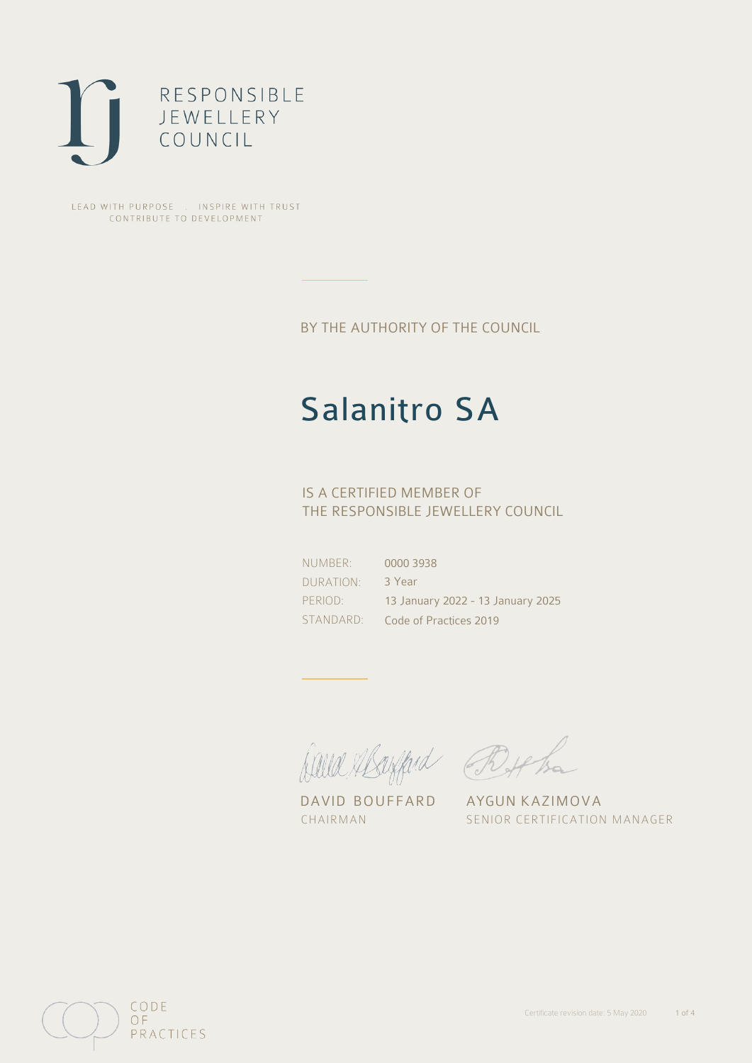

LEAD WITH PURPOSE . INSPIRE WITH TRUST CONTRIBUTE TO DEVELOPMENT

BY THE AUTHORITY OF THE COUNCIL

# Salanitro SA

## IS A CERTIFIED MEMBER OF THE RESPONSIBLE JEWELLERY COUNCIL

NUMBER: DURATION: PERIOD: STANDARD:

0000 3938 3 Year 13 January 2022 - 13 January 2025 Code of Practices 2019

David Mayfard Bythe

DAVID BOUFFARD AYGUN KAZIMOVA

CHAIRMAN SENIOR CERTIFICATION MANAGER

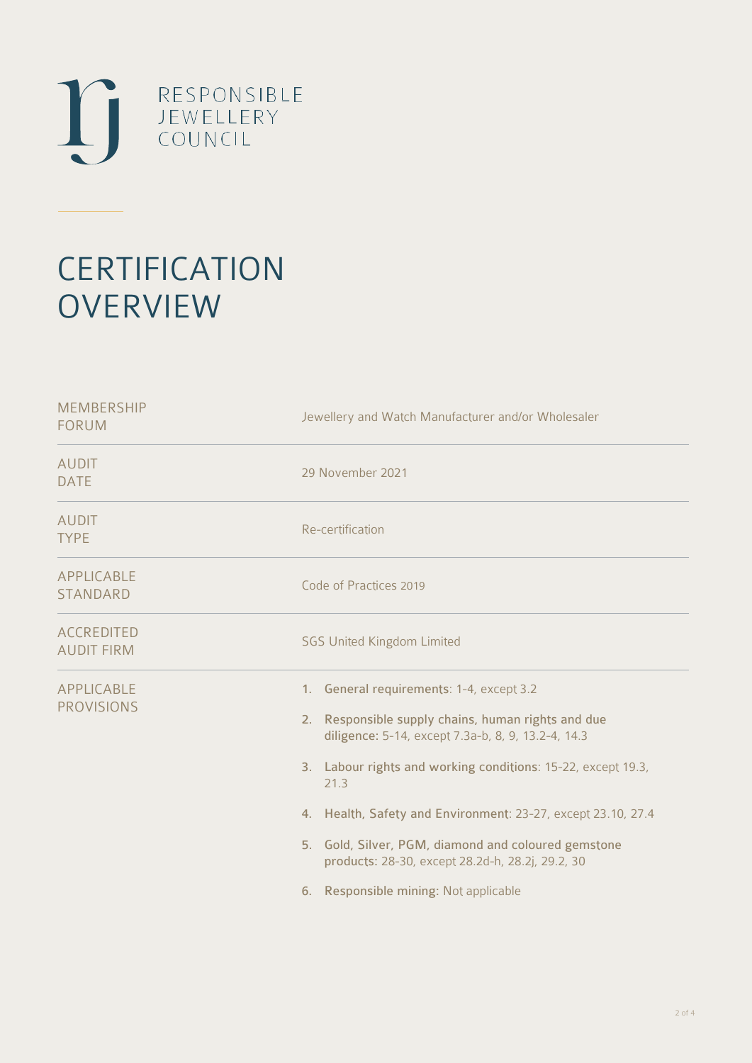

# **CERTIFICATION OVERVIEW**

| Jewellery and Watch Manufacturer and/or Wholesaler                                                                                                                                                                                                                                                                                                                                                                                               |
|--------------------------------------------------------------------------------------------------------------------------------------------------------------------------------------------------------------------------------------------------------------------------------------------------------------------------------------------------------------------------------------------------------------------------------------------------|
| 29 November 2021                                                                                                                                                                                                                                                                                                                                                                                                                                 |
| Re-certification                                                                                                                                                                                                                                                                                                                                                                                                                                 |
| Code of Practices 2019                                                                                                                                                                                                                                                                                                                                                                                                                           |
| <b>SGS United Kingdom Limited</b>                                                                                                                                                                                                                                                                                                                                                                                                                |
| 1. General requirements: 1-4, except 3.2<br>2. Responsible supply chains, human rights and due<br>diligence: 5-14, except 7.3a-b, 8, 9, 13.2-4, 14.3<br>3. Labour rights and working conditions: 15-22, except 19.3,<br>21.3<br>4. Health, Safety and Environment: 23-27, except 23.10, 27.4<br>5. Gold, Silver, PGM, diamond and coloured gemstone<br>products: 28-30, except 28.2d-h, 28.2j, 29.2, 30<br>6. Responsible mining: Not applicable |
|                                                                                                                                                                                                                                                                                                                                                                                                                                                  |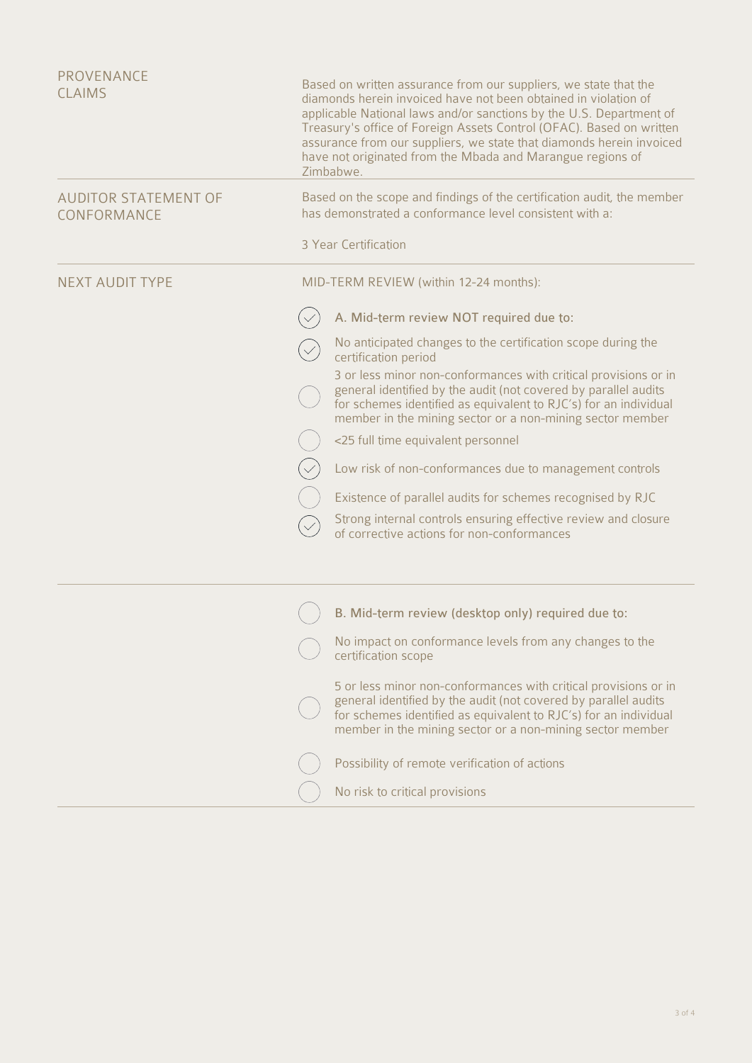| <b>PROVENANCE</b><br><b>CLAIMS</b>         | Based on written assurance from our suppliers, we state that the<br>diamonds herein invoiced have not been obtained in violation of<br>applicable National laws and/or sanctions by the U.S. Department of<br>Treasury's office of Foreign Assets Control (OFAC). Based on written<br>assurance from our suppliers, we state that diamonds herein invoiced<br>have not originated from the Mbada and Marangue regions of<br>Zimbabwe. |
|--------------------------------------------|---------------------------------------------------------------------------------------------------------------------------------------------------------------------------------------------------------------------------------------------------------------------------------------------------------------------------------------------------------------------------------------------------------------------------------------|
| <b>AUDITOR STATEMENT OF</b><br>CONFORMANCE | Based on the scope and findings of the certification audit, the member<br>has demonstrated a conformance level consistent with a:                                                                                                                                                                                                                                                                                                     |
|                                            | 3 Year Certification                                                                                                                                                                                                                                                                                                                                                                                                                  |
| <b>NEXT AUDIT TYPE</b>                     | MID-TERM REVIEW (within 12-24 months):                                                                                                                                                                                                                                                                                                                                                                                                |
|                                            | A. Mid-term review NOT required due to:                                                                                                                                                                                                                                                                                                                                                                                               |
|                                            | No anticipated changes to the certification scope during the<br>certification period                                                                                                                                                                                                                                                                                                                                                  |
|                                            | 3 or less minor non-conformances with critical provisions or in<br>general identified by the audit (not covered by parallel audits<br>for schemes identified as equivalent to RJC's) for an individual<br>member in the mining sector or a non-mining sector member                                                                                                                                                                   |
|                                            | <25 full time equivalent personnel                                                                                                                                                                                                                                                                                                                                                                                                    |
|                                            | Low risk of non-conformances due to management controls                                                                                                                                                                                                                                                                                                                                                                               |
|                                            | Existence of parallel audits for schemes recognised by RJC                                                                                                                                                                                                                                                                                                                                                                            |
|                                            | Strong internal controls ensuring effective review and closure<br>of corrective actions for non-conformances                                                                                                                                                                                                                                                                                                                          |
|                                            | B. Mid-term review (desktop only) required due to:                                                                                                                                                                                                                                                                                                                                                                                    |
|                                            | No impact on conformance levels from any changes to the<br>certification scope                                                                                                                                                                                                                                                                                                                                                        |
|                                            | 5 or less minor non-conformances with critical provisions or in<br>general identified by the audit (not covered by parallel audits<br>for schemes identified as equivalent to RJC's) for an individual<br>member in the mining sector or a non-mining sector member                                                                                                                                                                   |
|                                            | Possibility of remote verification of actions                                                                                                                                                                                                                                                                                                                                                                                         |
|                                            | No risk to critical provisions                                                                                                                                                                                                                                                                                                                                                                                                        |
|                                            |                                                                                                                                                                                                                                                                                                                                                                                                                                       |